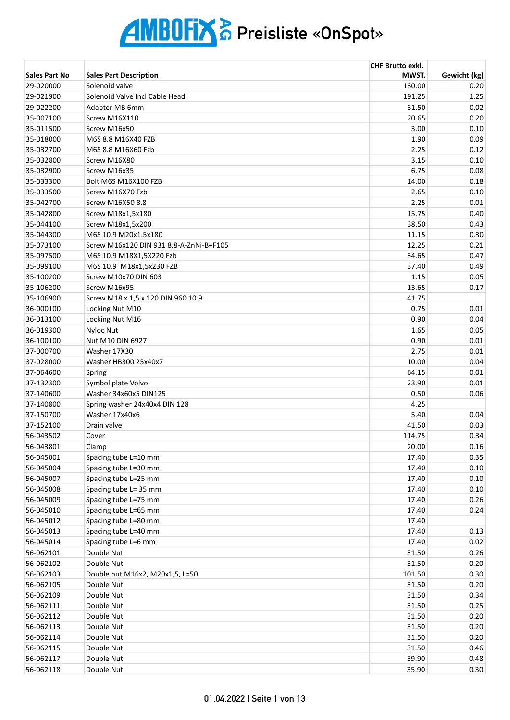|                        |                                               | <b>CHF Brutto exkl.</b> |              |
|------------------------|-----------------------------------------------|-------------------------|--------------|
| Sales Part No          | <b>Sales Part Description</b>                 | MWST.                   | Gewicht (kg) |
| 29-020000              | Solenoid valve                                | 130.00                  | 0.20         |
| 29-021900              | Solenoid Valve Incl Cable Head                | 191.25                  | 1.25         |
| 29-022200              | Adapter MB 6mm                                | 31.50                   | 0.02         |
| 35-007100              | Screw M16X110                                 | 20.65                   | 0.20         |
| 35-011500              | Screw M16x50                                  | 3.00                    | 0.10         |
| 35-018000              | M6S 8.8 M16X40 FZB                            | 1.90                    | 0.09         |
| 35-032700              | M6S 8.8 M16X60 Fzb                            | 2.25                    | 0.12         |
| 35-032800              | Screw M16X80                                  | 3.15                    | 0.10         |
| 35-032900              | Screw M16x35                                  | 6.75                    | 0.08         |
| 35-033300              | Bolt M6S M16X100 FZB                          | 14.00                   | 0.18         |
| 35-033500              | Screw M16X70 Fzb                              | 2.65                    | 0.10         |
| 35-042700              | Screw M16X50 8.8                              | 2.25                    | 0.01         |
| 35-042800              | Screw M18x1,5x180                             | 15.75                   | 0.40         |
| 35-044100              | Screw M18x1,5x200                             | 38.50                   | 0.43         |
| 35-044300              | M6S 10.9 M20x1.5x180                          | 11.15                   | 0.30         |
| 35-073100              | Screw M16x120 DIN 931 8.8-A-ZnNi-B+F105       | 12.25                   | 0.21         |
| 35-097500              | M6S 10.9 M18X1,5X220 Fzb                      | 34.65                   | 0.47         |
| 35-099100              | M6S 10.9 M18x1,5x230 FZB                      | 37.40                   | 0.49         |
| 35-100200              | Screw M10x70 DIN 603                          | 1.15                    | 0.05         |
| 35-106200              | Screw M16x95                                  | 13.65                   | 0.17         |
| 35-106900              | Screw M18 x 1,5 x 120 DIN 960 10.9            | 41.75                   |              |
| 36-000100              | Locking Nut M10                               | 0.75                    | 0.01         |
| 36-013100              | Locking Nut M16                               | 0.90                    | 0.04         |
| 36-019300              | <b>Nyloc Nut</b>                              | 1.65                    | 0.05         |
| 36-100100              | Nut M10 DIN 6927                              | 0.90                    | 0.01         |
| 37-000700              | Washer 17X30                                  | 2.75                    | 0.01         |
| 37-028000              | Washer HB300 25x40x7                          | 10.00                   | 0.04         |
| 37-064600              | Spring                                        | 64.15                   | 0.01         |
| 37-132300              | Symbol plate Volvo                            | 23.90                   | 0.01         |
| 37-140600              | Washer 34x60x5 DIN125                         | 0.50                    | 0.06         |
| 37-140800              | Spring washer 24x40x4 DIN 128                 | 4.25                    |              |
| 37-150700              | Washer 17x40x6                                | 5.40                    | 0.04         |
| 37-152100              | Drain valve                                   | 41.50                   | 0.03         |
| 56-043502              | Cover                                         | 114.75                  | 0.34         |
| 56-043801              | Clamp                                         | 20.00                   | 0.16         |
| 56-045001              | Spacing tube L=10 mm                          | 17.40                   | 0.35         |
| 56-045004              | Spacing tube L=30 mm                          | 17.40                   | 0.10         |
| 56-045007              | Spacing tube L=25 mm                          | 17.40                   | 0.10         |
| 56-045008              | Spacing tube L= 35 mm                         | 17.40                   | 0.10         |
| 56-045009              | Spacing tube L=75 mm                          | 17.40                   | 0.26         |
| 56-045010              | Spacing tube L=65 mm                          | 17.40                   | 0.24         |
| 56-045012              | Spacing tube L=80 mm                          | 17.40                   |              |
| 56-045013              | Spacing tube L=40 mm                          | 17.40                   | 0.13         |
| 56-045014              | Spacing tube L=6 mm                           | 17.40                   | 0.02         |
| 56-062101              | Double Nut                                    | 31.50                   | 0.26         |
| 56-062102              | Double Nut                                    | 31.50                   | 0.20         |
|                        |                                               |                         |              |
| 56-062103              | Double nut M16x2, M20x1,5, L=50<br>Double Nut | 101.50                  | 0.30         |
| 56-062105<br>56-062109 | Double Nut                                    | 31.50<br>31.50          | 0.20<br>0.34 |
|                        |                                               | 31.50                   | 0.25         |
| 56-062111              | Double Nut<br>Double Nut                      |                         |              |
| 56-062112              | Double Nut                                    | 31.50                   | 0.20         |
| 56-062113              |                                               | 31.50                   | 0.20         |
| 56-062114              | Double Nut                                    | 31.50                   | 0.20         |
| 56-062115              | Double Nut                                    | 31.50                   | 0.46         |
| 56-062117              | Double Nut                                    | 39.90                   | 0.48         |
| 56-062118              | Double Nut                                    | 35.90                   | 0.30         |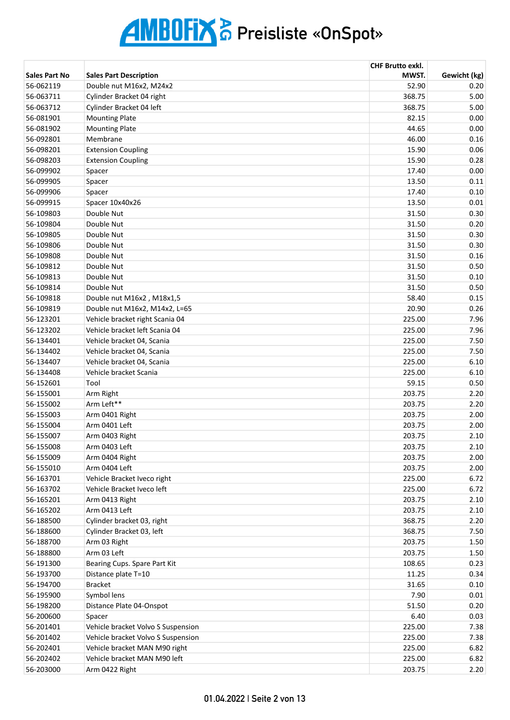|                      |                                    | <b>CHF Brutto exkl.</b> |              |
|----------------------|------------------------------------|-------------------------|--------------|
| <b>Sales Part No</b> | <b>Sales Part Description</b>      | MWST.                   | Gewicht (kg) |
| 56-062119            | Double nut M16x2, M24x2            | 52.90                   | 0.20         |
| 56-063711            | Cylinder Bracket 04 right          | 368.75                  | 5.00         |
| 56-063712            | Cylinder Bracket 04 left           | 368.75                  | 5.00         |
| 56-081901            | <b>Mounting Plate</b>              | 82.15                   | 0.00         |
| 56-081902            | <b>Mounting Plate</b>              | 44.65                   | 0.00         |
| 56-092801            | Membrane                           | 46.00                   | 0.16         |
| 56-098201            | <b>Extension Coupling</b>          | 15.90                   | 0.06         |
| 56-098203            | <b>Extension Coupling</b>          | 15.90                   | 0.28         |
| 56-099902            | Spacer                             | 17.40                   | 0.00         |
| 56-099905            | Spacer                             | 13.50                   | 0.11         |
| 56-099906            | Spacer                             | 17.40                   | 0.10         |
| 56-099915            | Spacer 10x40x26                    | 13.50                   | 0.01         |
| 56-109803            | Double Nut                         | 31.50                   | 0.30         |
| 56-109804            | Double Nut                         | 31.50                   | 0.20         |
| 56-109805            | Double Nut                         | 31.50                   | 0.30         |
| 56-109806            | Double Nut                         | 31.50                   | 0.30         |
| 56-109808            | Double Nut                         | 31.50                   | 0.16         |
| 56-109812            | Double Nut                         | 31.50                   | 0.50         |
| 56-109813            | Double Nut                         | 31.50                   | 0.10         |
| 56-109814            | Double Nut                         | 31.50                   | 0.50         |
| 56-109818            | Double nut M16x2, M18x1,5          | 58.40                   | 0.15         |
| 56-109819            | Double nut M16x2, M14x2, L=65      | 20.90                   | 0.26         |
| 56-123201            | Vehicle bracket right Scania 04    | 225.00                  | 7.96         |
| 56-123202            | Vehicle bracket left Scania 04     | 225.00                  | 7.96         |
| 56-134401            | Vehicle bracket 04, Scania         | 225.00                  | 7.50         |
| 56-134402            | Vehicle bracket 04, Scania         | 225.00                  | 7.50         |
| 56-134407            | Vehicle bracket 04, Scania         | 225.00                  | 6.10         |
| 56-134408            | Vehicle bracket Scania             | 225.00                  | 6.10         |
| 56-152601            | Tool                               | 59.15                   | 0.50         |
| 56-155001            | Arm Right                          | 203.75                  | 2.20         |
| 56-155002            | Arm Left**                         | 203.75                  | 2.20         |
| 56-155003            | Arm 0401 Right                     | 203.75                  | 2.00         |
| 56-155004            | Arm 0401 Left                      | 203.75                  | 2.00         |
| 56-155007            | Arm 0403 Right                     | 203.75                  | 2.10         |
| 56-155008            | Arm 0403 Left                      | 203.75                  | 2.10         |
| 56-155009            | Arm 0404 Right                     | 203.75                  | 2.00         |
| 56-155010            | Arm 0404 Left                      | 203.75                  | 2.00         |
| 56-163701            | Vehicle Bracket Iveco right        | 225.00                  | 6.72         |
| 56-163702            | Vehicle Bracket Iveco left         | 225.00                  | 6.72         |
| 56-165201            | Arm 0413 Right                     | 203.75                  | 2.10         |
| 56-165202            | Arm 0413 Left                      | 203.75                  | 2.10         |
| 56-188500            | Cylinder bracket 03, right         | 368.75                  | 2.20         |
| 56-188600            | Cylinder Bracket 03, left          | 368.75                  | 7.50         |
| 56-188700            | Arm 03 Right                       | 203.75                  | 1.50         |
| 56-188800            | Arm 03 Left                        | 203.75                  | 1.50         |
| 56-191300            | Bearing Cups. Spare Part Kit       | 108.65                  | 0.23         |
| 56-193700            | Distance plate T=10                | 11.25                   | 0.34         |
| 56-194700            | <b>Bracket</b>                     | 31.65                   | 0.10         |
| 56-195900            | Symbol lens                        | 7.90                    | 0.01         |
| 56-198200            | Distance Plate 04-Onspot           | 51.50                   | 0.20         |
| 56-200600            | Spacer                             | 6.40                    | 0.03         |
| 56-201401            | Vehicle bracket Volvo S Suspension | 225.00                  | 7.38         |
| 56-201402            | Vehicle bracket Volvo S Suspension | 225.00                  | 7.38         |
| 56-202401            | Vehicle bracket MAN M90 right      | 225.00                  | 6.82         |
| 56-202402            | Vehicle bracket MAN M90 left       | 225.00                  | 6.82         |
| 56-203000            | Arm 0422 Right                     | 203.75                  | 2.20         |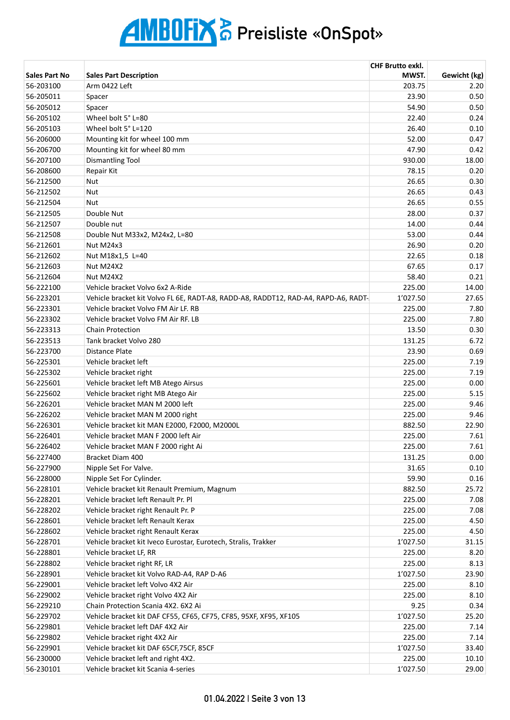|                        |                                                                                    | <b>CHF Brutto exkl.</b> |               |
|------------------------|------------------------------------------------------------------------------------|-------------------------|---------------|
| <b>Sales Part No</b>   | <b>Sales Part Description</b>                                                      | MWST.                   | Gewicht (kg)  |
| 56-203100              | Arm 0422 Left                                                                      | 203.75                  | 2.20          |
| 56-205011              | Spacer                                                                             | 23.90                   | 0.50          |
| 56-205012              | Spacer                                                                             | 54.90                   | 0.50          |
| 56-205102              | Wheel bolt 5° L=80                                                                 | 22.40                   | 0.24          |
| 56-205103              | Wheel bolt 5° L=120                                                                | 26.40                   | 0.10          |
| 56-206000              | Mounting kit for wheel 100 mm                                                      | 52.00                   | 0.47          |
| 56-206700              | Mounting kit for wheel 80 mm                                                       | 47.90                   | 0.42          |
| 56-207100              | <b>Dismantling Tool</b>                                                            | 930.00                  | 18.00         |
| 56-208600              | Repair Kit                                                                         | 78.15                   | 0.20          |
| 56-212500              | <b>Nut</b>                                                                         | 26.65                   | 0.30          |
| 56-212502              | <b>Nut</b>                                                                         | 26.65                   | 0.43          |
| 56-212504              | <b>Nut</b>                                                                         | 26.65                   | 0.55          |
| 56-212505              | Double Nut                                                                         | 28.00                   | 0.37          |
| 56-212507              | Double nut                                                                         | 14.00                   | 0.44          |
| 56-212508              | Double Nut M33x2, M24x2, L=80                                                      | 53.00                   | 0.44          |
| 56-212601              | Nut M24x3                                                                          | 26.90                   | 0.20          |
| 56-212602              | Nut M18x1,5 L=40                                                                   | 22.65                   | 0.18          |
| 56-212603              | Nut M24X2                                                                          | 67.65                   | 0.17          |
| 56-212604              | Nut M24X2                                                                          | 58.40                   | 0.21          |
| 56-222100              | Vehicle bracket Volvo 6x2 A-Ride                                                   | 225.00                  | 14.00         |
| 56-223201              | Vehicle bracket kit Volvo FL 6E, RADT-A8, RADD-A8, RADDT12, RAD-A4, RAPD-A6, RADT- | 1'027.50                | 27.65         |
| 56-223301              | Vehicle bracket Volvo FM Air LF. RB                                                | 225.00                  | 7.80          |
| 56-223302              | Vehicle bracket Volvo FM Air RF. LB                                                | 225.00                  | 7.80          |
| 56-223313              | <b>Chain Protection</b>                                                            | 13.50                   | 0.30          |
| 56-223513              | Tank bracket Volvo 280                                                             | 131.25                  | 6.72          |
| 56-223700              | <b>Distance Plate</b>                                                              | 23.90                   | 0.69          |
| 56-225301              | Vehicle bracket left                                                               | 225.00                  | 7.19          |
| 56-225302              | Vehicle bracket right                                                              | 225.00                  | 7.19          |
| 56-225601              |                                                                                    | 225.00                  | 0.00          |
| 56-225602              | Vehicle bracket left MB Atego Airsus                                               | 225.00                  | 5.15          |
|                        | Vehicle bracket right MB Atego Air<br>Vehicle bracket MAN M 2000 left              | 225.00                  | 9.46          |
| 56-226201              |                                                                                    |                         | 9.46          |
| 56-226202<br>56-226301 | Vehicle bracket MAN M 2000 right<br>Vehicle bracket kit MAN E2000, F2000, M2000L   | 225.00                  |               |
| 56-226401              | Vehicle bracket MAN F 2000 left Air                                                | 882.50                  | 22.90<br>7.61 |
|                        |                                                                                    | 225.00                  | 7.61          |
| 56-226402              | Vehicle bracket MAN F 2000 right Ai                                                | 225.00                  |               |
| 56-227400              | Bracket Diam 400                                                                   | 131.25                  | 0.00          |
| 56-227900              | Nipple Set For Valve.                                                              | 31.65                   | 0.10          |
| 56-228000              | Nipple Set For Cylinder.                                                           | 59.90                   | 0.16          |
| 56-228101              | Vehicle bracket kit Renault Premium, Magnum                                        | 882.50                  | 25.72         |
| 56-228201              | Vehicle bracket left Renault Pr. Pl                                                | 225.00                  | 7.08          |
| 56-228202              | Vehicle bracket right Renault Pr. P                                                | 225.00                  | 7.08          |
| 56-228601              | Vehicle bracket left Renault Kerax                                                 | 225.00                  | 4.50          |
| 56-228602              | Vehicle bracket right Renault Kerax                                                | 225.00                  | 4.50          |
| 56-228701              | Vehicle bracket kit Iveco Eurostar, Eurotech, Stralis, Trakker                     | 1'027.50                | 31.15         |
| 56-228801              | Vehicle bracket LF, RR                                                             | 225.00                  | 8.20          |
| 56-228802              | Vehicle bracket right RF, LR                                                       | 225.00                  | 8.13          |
| 56-228901              | Vehicle bracket kit Volvo RAD-A4, RAP D-A6                                         | 1'027.50                | 23.90         |
| 56-229001              | Vehicle bracket left Volvo 4X2 Air                                                 | 225.00                  | 8.10          |
| 56-229002              | Vehicle bracket right Volvo 4X2 Air                                                | 225.00                  | 8.10          |
| 56-229210              | Chain Protection Scania 4X2. 6X2 Ai                                                | 9.25                    | 0.34          |
| 56-229702              | Vehicle bracket kit DAF CF55, CF65, CF75, CF85, 95XF, XF95, XF105                  | 1'027.50                | 25.20         |
| 56-229801              | Vehicle bracket left DAF 4X2 Air                                                   | 225.00                  | 7.14          |
| 56-229802              | Vehicle bracket right 4X2 Air                                                      | 225.00                  | 7.14          |
| 56-229901              | Vehicle bracket kit DAF 65CF, 75CF, 85CF                                           | 1'027.50                | 33.40         |
| 56-230000              | Vehicle bracket left and right 4X2.                                                | 225.00                  | 10.10         |
| 56-230101              | Vehicle bracket kit Scania 4-series                                                | 1'027.50                | 29.00         |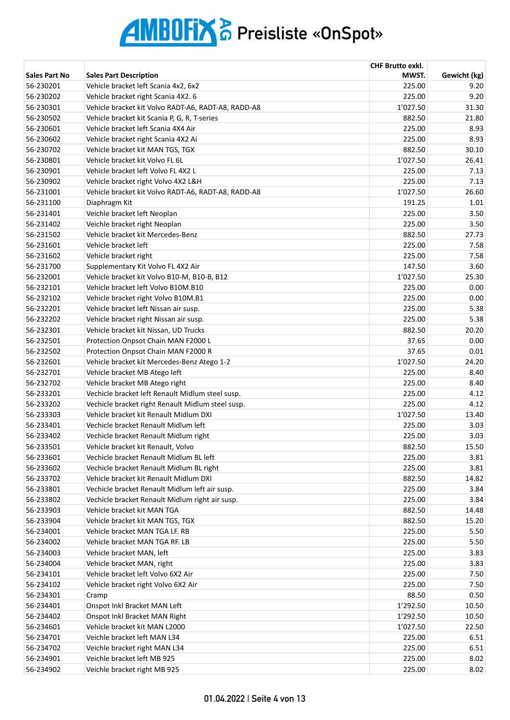|                      |                                                     | <b>CHF Brutto exkl.</b> |              |
|----------------------|-----------------------------------------------------|-------------------------|--------------|
| <b>Sales Part No</b> | <b>Sales Part Description</b>                       | MWST.                   | Gewicht (kg) |
| 56-230201            | Vehicle bracket left Scania 4x2, 6x2                | 225.00                  | 9.20         |
| 56-230202            | Vehicle bracket right Scania 4X2. 6                 | 225.00                  | 9.20         |
| 56-230301            | Vehicle bracket kit Volvo RADT-A6, RADT-A8, RADD-A8 | 1'027.50                | 31.30        |
| 56-230502            | Vehicle bracket kit Scania P, G, R, T-series        | 882.50                  | 21.80        |
| 56-230601            | Vehicle bracket left Scania 4X4 Air                 | 225.00                  | 8.93         |
| 56-230602            | Vehicle bracket right Scania 4X2 Ai                 | 225.00                  | 8.93         |
| 56-230702            | Vehicle bracket kit MAN TGS, TGX                    | 882.50                  | 30.10        |
| 56-230801            | Vehicle bracket kit Volvo FL 6L                     | 1'027.50                | 26.41        |
| 56-230901            | Vehicle bracket left Volvo FL 4X2 L                 | 225.00                  | 7.13         |
| 56-230902            | Vehicle bracket right Volvo 4X2 L&H                 | 225.00                  | 7.13         |
| 56-231001            | Vehicle bracket kit Volvo RADT-A6, RADT-A8, RADD-A8 | 1'027.50                | 26.60        |
| 56-231100            | Diaphragm Kit                                       | 191.25                  | 1.01         |
| 56-231401            | Veichle bracket left Neoplan                        | 225.00                  | 3.50         |
| 56-231402            | Veichle bracket right Neoplan                       | 225.00                  | 3.50         |
| 56-231502            | Vehicle bracket kit Mercedes-Benz                   | 882.50                  | 27.73        |
| 56-231601            | Vehicle bracket left                                | 225.00                  | 7.58         |
| 56-231602            | Vehicle bracket right                               | 225.00                  | 7.58         |
| 56-231700            | Supplementary Kit Volvo FL 4X2 Air                  | 147.50                  | 3.60         |
| 56-232001            | Vehicle bracket kit Volvo B10-M, B10-B, B12         | 1'027.50                | 25.30        |
| 56-232101            | Vehicle bracket left Volvo B10M.B10                 | 225.00                  | 0.00         |
| 56-232102            | Vehicle bracket right Volvo B10M.B1                 | 225.00                  | 0.00         |
| 56-232201            | Vehicle bracket left Nissan air susp.               | 225.00                  | 5.38         |
| 56-232202            | Vehicle bracket right Nissan air susp.              | 225.00                  | 5.38         |
| 56-232301            | Vehicle bracket kit Nissan, UD Trucks               | 882.50                  | 20.20        |
| 56-232501            | Protection Onpsot Chain MAN F2000 L                 | 37.65                   | 0.00         |
| 56-232502            | Protection Onpsot Chain MAN F2000 R                 | 37.65                   | 0.01         |
| 56-232601            | Vehicle bracket kit Mercedes-Benz Atego 1-2         | 1'027.50                | 24.20        |
| 56-232701            | Vehicle bracket MB Atego left                       | 225.00                  | 8.40         |
| 56-232702            | Vehicle bracket MB Atego right                      | 225.00                  | 8.40         |
| 56-233201            | Vechicle bracket left Renault Midlum steel susp.    | 225.00                  | 4.12         |
| 56-233202            | Vechicle bracket right Renault Midlum steel susp.   | 225.00                  | 4.12         |
| 56-233303            | Vehicle bracket kit Renault Midlum DXI              | 1'027.50                | 13.40        |
| 56-233401            | Vechicle bracket Renault Midlum left                | 225.00                  | 3.03         |
| 56-233402            | Vechicle bracket Renault Midlum right               | 225.00                  | 3.03         |
| 56-233501            | Vehicle bracket kit Renault, Volvo                  | 882.50                  | 15.50        |
| 56-233601            | Vechicle bracket Renault Midlum BL left             | 225.00                  | 3.81         |
| 56-233602            | Vechicle bracket Renault Midlum BL right            | 225.00                  | 3.81         |
| 56-233702            | Vehicle bracket kit Renault Midlum DXI              | 882.50                  | 14.82        |
| 56-233801            | Vechicle bracket Renault Midlum left air susp.      | 225.00                  | 3.84         |
| 56-233802            | Vechicle bracket Renault Midlum right air susp.     | 225.00                  | 3.84         |
| 56-233903            | Vehicle bracket kit MAN TGA                         | 882.50                  | 14.48        |
| 56-233904            | Vehicle bracket kit MAN TGS, TGX                    | 882.50                  | 15.20        |
| 56-234001            | Vehicle bracket MAN TGA LF. RB                      | 225.00                  | 5.50         |
| 56-234002            | Vehicle bracket MAN TGA RF. LB                      | 225.00                  | 5.50         |
| 56-234003            | Vehicle bracket MAN, left                           | 225.00                  | 3.83         |
| 56-234004            | Vehicle bracket MAN, right                          | 225.00                  | 3.83         |
| 56-234101            | Vehicle bracket left Volvo 6X2 Air                  | 225.00                  | 7.50         |
| 56-234102            | Vehicle bracket right Volvo 6X2 Air                 | 225.00                  | 7.50         |
| 56-234301            | Cramp                                               | 88.50                   | 0.50         |
| 56-234401            | Onspot Inkl Bracket MAN Left                        | 1'292.50                | 10.50        |
| 56-234402            | Onspot Inkl Bracket MAN Right                       | 1'292.50                | 10.50        |
| 56-234601            | Vehicle bracket kit MAN L2000                       | 1'027.50                | 22.50        |
| 56-234701            | Veichle bracket left MAN L34                        | 225.00                  | 6.51         |
| 56-234702            | Veichle bracket right MAN L34                       | 225.00                  | 6.51         |
| 56-234901            | Veichle bracket left MB 925                         | 225.00                  | 8.02         |
| 56-234902            | Veichle bracket right MB 925                        | 225.00                  | 8.02         |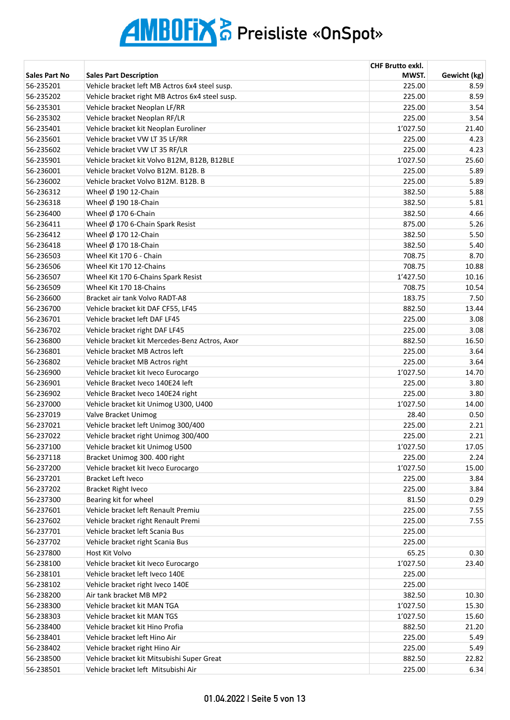|                      |                                                 | <b>CHF Brutto exkl.</b> |              |
|----------------------|-------------------------------------------------|-------------------------|--------------|
| <b>Sales Part No</b> | <b>Sales Part Description</b>                   | MWST.                   | Gewicht (kg) |
| 56-235201            | Vehicle bracket left MB Actros 6x4 steel susp.  | 225.00                  | 8.59         |
| 56-235202            | Vehicle bracket right MB Actros 6x4 steel susp. | 225.00                  | 8.59         |
| 56-235301            | Vehicle bracket Neoplan LF/RR                   | 225.00                  | 3.54         |
| 56-235302            | Vehicle bracket Neoplan RF/LR                   | 225.00                  | 3.54         |
| 56-235401            | Vehicle bracket kit Neoplan Euroliner           | 1'027.50                | 21.40        |
| 56-235601            | Vehicle bracket VW LT 35 LF/RR                  | 225.00                  | 4.23         |
| 56-235602            | Vehicle bracket VW LT 35 RF/LR                  | 225.00                  | 4.23         |
| 56-235901            | Vehicle bracket kit Volvo B12M, B12B, B12BLE    | 1'027.50                | 25.60        |
| 56-236001            | Vehicle bracket Volvo B12M, B12B, B             | 225.00                  | 5.89         |
| 56-236002            | Vehicle bracket Volvo B12M, B12B, B             | 225.00                  | 5.89         |
| 56-236312            | Wheel $\emptyset$ 190 12-Chain                  | 382.50                  | 5.88         |
| 56-236318            | Wheel $\emptyset$ 190 18-Chain                  | 382.50                  | 5.81         |
| 56-236400            | Wheel $\varnothing$ 170 6-Chain                 | 382.50                  | 4.66         |
| 56-236411            | Wheel Ø 170 6-Chain Spark Resist                | 875.00                  | 5.26         |
| 56-236412            | Wheel $\emptyset$ 170 12-Chain                  | 382.50                  | 5.50         |
| 56-236418            | Wheel $\emptyset$ 170 18-Chain                  | 382.50                  | 5.40         |
| 56-236503            | Wheel Kit 170 6 - Chain                         | 708.75                  | 8.70         |
| 56-236506            | Wheel Kit 170 12-Chains                         | 708.75                  | 10.88        |
| 56-236507            | Wheel Kit 170 6-Chains Spark Resist             | 1'427.50                | 10.16        |
| 56-236509            | Wheel Kit 170 18-Chains                         | 708.75                  | 10.54        |
| 56-236600            | Bracket air tank Volvo RADT-A8                  | 183.75                  | 7.50         |
| 56-236700            | Vehicle bracket kit DAF CF55, LF45              | 882.50                  | 13.44        |
| 56-236701            | Vehicle bracket left DAF LF45                   | 225.00                  | 3.08         |
| 56-236702            | Vehicle bracket right DAF LF45                  | 225.00                  | 3.08         |
| 56-236800            | Vehicle bracket kit Mercedes-Benz Actros, Axor  | 882.50                  | 16.50        |
| 56-236801            | Vehicle bracket MB Actros left                  | 225.00                  | 3.64         |
| 56-236802            | Vehicle bracket MB Actros right                 | 225.00                  | 3.64         |
| 56-236900            | Vehicle bracket kit Iveco Eurocargo             | 1'027.50                | 14.70        |
| 56-236901            | Vehicle Bracket Iveco 140E24 left               | 225.00                  | 3.80         |
| 56-236902            | Vehicle Bracket Iveco 140E24 right              | 225.00                  | 3.80         |
| 56-237000            | Vehicle bracket kit Unimog U300, U400           | 1'027.50                | 14.00        |
| 56-237019            | Valve Bracket Unimog                            | 28.40                   | 0.50         |
| 56-237021            | Vehicle bracket left Unimog 300/400             | 225.00                  | 2.21         |
| 56-237022            | Vehicle bracket right Unimog 300/400            | 225.00                  | 2.21         |
| 56-237100            | Vehicle bracket kit Unimog U500                 | 1'027.50                | 17.05        |
| 56-237118            | Bracket Unimog 300. 400 right                   | 225.00                  | 2.24         |
| 56-237200            | Vehicle bracket kit Iveco Eurocargo             | 1'027.50                | 15.00        |
| 56-237201            | <b>Bracket Left Iveco</b>                       | 225.00                  | 3.84         |
| 56-237202            | <b>Bracket Right Iveco</b>                      | 225.00                  | 3.84         |
| 56-237300            | Bearing kit for wheel                           | 81.50                   | 0.29         |
| 56-237601            | Vehicle bracket left Renault Premiu             | 225.00                  | 7.55         |
| 56-237602            | Vehicle bracket right Renault Premi             | 225.00                  | 7.55         |
| 56-237701            | Vehicle bracket left Scania Bus                 | 225.00                  |              |
| 56-237702            | Vehicle bracket right Scania Bus                | 225.00                  |              |
| 56-237800            | <b>Host Kit Volvo</b>                           | 65.25                   | 0.30         |
| 56-238100            | Vehicle bracket kit Iveco Eurocargo             | 1'027.50                | 23.40        |
| 56-238101            | Vehicle bracket left Iveco 140E                 | 225.00                  |              |
| 56-238102            | Vehicle bracket right Iveco 140E                | 225.00                  |              |
| 56-238200            | Air tank bracket MB MP2                         | 382.50                  | 10.30        |
| 56-238300            | Vehicle bracket kit MAN TGA                     | 1'027.50                | 15.30        |
| 56-238303            | Vehicle bracket kit MAN TGS                     | 1'027.50                | 15.60        |
| 56-238400            | Vehicle bracket kit Hino Profia                 | 882.50                  | 21.20        |
| 56-238401            | Vehicle bracket left Hino Air                   | 225.00                  | 5.49         |
| 56-238402            | Vehicle bracket right Hino Air                  | 225.00                  | 5.49         |
| 56-238500            | Vehicle bracket kit Mitsubishi Super Great      | 882.50                  | 22.82        |
| 56-238501            | Vehicle bracket left Mitsubishi Air             | 225.00                  | 6.34         |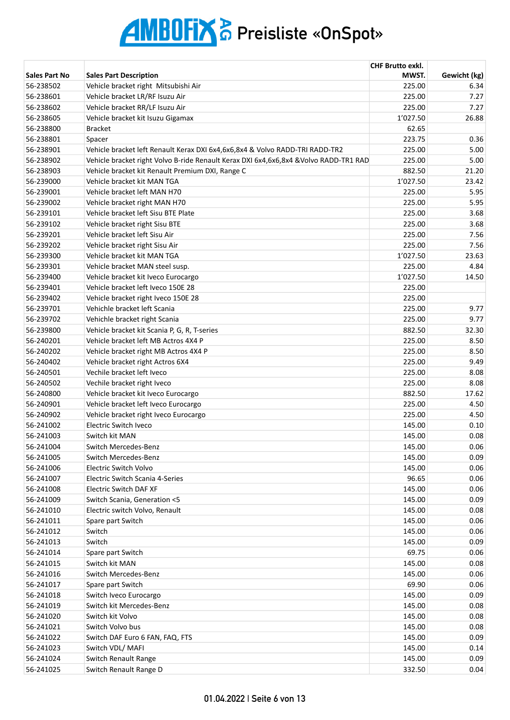|                        |                                                                                       | <b>CHF Brutto exkl.</b> |              |
|------------------------|---------------------------------------------------------------------------------------|-------------------------|--------------|
| <b>Sales Part No</b>   | <b>Sales Part Description</b>                                                         | MWST.                   | Gewicht (kg) |
| 56-238502              | Vehicle bracket right Mitsubishi Air                                                  | 225.00                  | 6.34         |
| 56-238601              | Vehicle bracket LR/RF Isuzu Air                                                       | 225.00                  | 7.27         |
| 56-238602              | Vehicle bracket RR/LF Isuzu Air                                                       | 225.00                  | 7.27         |
| 56-238605              | Vehicle bracket kit Isuzu Gigamax                                                     | 1'027.50                | 26.88        |
| 56-238800              | <b>Bracket</b>                                                                        | 62.65                   |              |
| 56-238801              | Spacer                                                                                | 223.75                  | 0.36         |
| 56-238901              | Vehicle bracket left Renault Kerax DXI 6x4,6x6,8x4 & Volvo RADD-TRI RADD-TR2          | 225.00                  | 5.00         |
| 56-238902              | Vehicle bracket right Volvo B-ride Renault Kerax DXI 6x4,6x6,8x4 & Volvo RADD-TR1 RAD | 225.00                  | 5.00         |
| 56-238903              | Vehicle bracket kit Renault Premium DXI, Range C                                      | 882.50                  | 21.20        |
| 56-239000              | Vehicle bracket kit MAN TGA                                                           | 1'027.50                | 23.42        |
| 56-239001              | Vehicle bracket left MAN H70                                                          | 225.00                  | 5.95         |
| 56-239002              | Vehicle bracket right MAN H70                                                         | 225.00                  | 5.95         |
| 56-239101              | Vehicle bracket left Sisu BTE Plate                                                   | 225.00                  | 3.68         |
| 56-239102              | Vehicle bracket right Sisu BTE                                                        | 225.00                  | 3.68         |
| 56-239201              | Vehicle bracket left Sisu Air                                                         | 225.00                  | 7.56         |
| 56-239202              | Vehicle bracket right Sisu Air                                                        | 225.00                  | 7.56         |
| 56-239300              | Vehicle bracket kit MAN TGA                                                           | 1'027.50                | 23.63        |
| 56-239301              | Vehicle bracket MAN steel susp.                                                       | 225.00                  | 4.84         |
| 56-239400              | Vehicle bracket kit Iveco Eurocargo                                                   | 1'027.50                | 14.50        |
| 56-239401              | Vehicle bracket left Iveco 150E 28                                                    | 225.00                  |              |
| 56-239402              | Vehicle bracket right Iveco 150E 28                                                   | 225.00                  |              |
| 56-239701              | Vehichle bracket left Scania                                                          | 225.00                  | 9.77         |
| 56-239702              | Vehichle bracket right Scania                                                         | 225.00                  | 9.77         |
| 56-239800              | Vehicle bracket kit Scania P, G, R, T-series                                          | 882.50                  | 32.30        |
| 56-240201              | Vehicle bracket left MB Actros 4X4 P                                                  | 225.00                  | 8.50         |
| 56-240202              | Vehicle bracket right MB Actros 4X4 P                                                 | 225.00                  | 8.50         |
| 56-240402              | Vehicle bracket right Actros 6X4                                                      | 225.00                  | 9.49         |
| 56-240501              | Vechile bracket left Iveco                                                            | 225.00                  | 8.08         |
| 56-240502              | Vechile bracket right Iveco                                                           | 225.00                  | 8.08         |
| 56-240800              | Vehicle bracket kit Iveco Eurocargo                                                   | 882.50                  | 17.62        |
| 56-240901              | Vehicle bracket left Iveco Eurocargo                                                  | 225.00                  | 4.50         |
| 56-240902              | Vehicle bracket right Iveco Eurocargo                                                 | 225.00                  | 4.50         |
| 56-241002              | Electric Switch Iveco                                                                 | 145.00                  | 0.10         |
| 56-241003              | Switch kit MAN                                                                        | 145.00                  | 0.08         |
| 56-241004              | Switch Mercedes-Benz                                                                  | 145.00                  | 0.06         |
| 56-241005              |                                                                                       | 145.00                  | 0.09         |
| 56-241006              | Switch Mercedes-Benz<br><b>Electric Switch Volvo</b>                                  | 145.00                  |              |
| 56-241007              | Electric Switch Scania 4-Series                                                       | 96.65                   | 0.06<br>0.06 |
|                        |                                                                                       |                         |              |
| 56-241008              | Electric Switch DAF XF                                                                | 145.00                  | 0.06         |
| 56-241009              | Switch Scania, Generation <5                                                          | 145.00                  | 0.09         |
| 56-241010              | Electric switch Volvo, Renault                                                        | 145.00                  | 0.08         |
| 56-241011              | Spare part Switch<br>Switch                                                           | 145.00<br>145.00        | 0.06         |
| 56-241012<br>56-241013 | Switch                                                                                |                         | 0.06         |
|                        |                                                                                       | 145.00                  | 0.09         |
| 56-241014              | Spare part Switch                                                                     | 69.75                   | 0.06         |
| 56-241015              | Switch kit MAN                                                                        | 145.00                  | 0.08         |
| 56-241016              | Switch Mercedes-Benz                                                                  | 145.00                  | 0.06         |
| 56-241017              | Spare part Switch                                                                     | 69.90                   | 0.06         |
| 56-241018              | Switch Iveco Eurocargo                                                                | 145.00                  | 0.09         |
| 56-241019              | Switch kit Mercedes-Benz                                                              | 145.00                  | 0.08         |
| 56-241020              | Switch kit Volvo                                                                      | 145.00                  | 0.08         |
| 56-241021              | Switch Volvo bus                                                                      | 145.00                  | 0.08         |
| 56-241022              | Switch DAF Euro 6 FAN, FAQ, FTS                                                       | 145.00                  | 0.09         |
| 56-241023              | Switch VDL/ MAFI                                                                      | 145.00                  | 0.14         |
| 56-241024              | Switch Renault Range                                                                  | 145.00                  | 0.09         |
| 56-241025              | Switch Renault Range D                                                                | 332.50                  | 0.04         |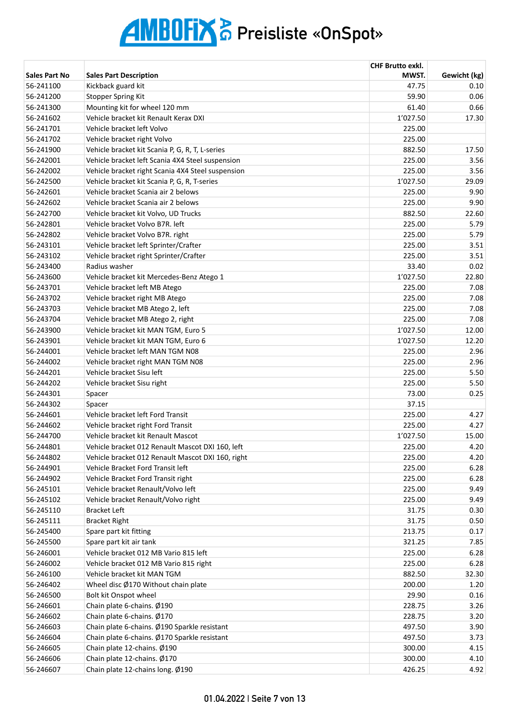|                      |                                                                          | <b>CHF Brutto exkl.</b> |              |
|----------------------|--------------------------------------------------------------------------|-------------------------|--------------|
| <b>Sales Part No</b> | <b>Sales Part Description</b>                                            | MWST.                   | Gewicht (kg) |
| 56-241100            | Kickback guard kit                                                       | 47.75                   | 0.10         |
| 56-241200            | <b>Stopper Spring Kit</b>                                                | 59.90                   | 0.06         |
| 56-241300            | Mounting kit for wheel 120 mm                                            | 61.40                   | 0.66         |
| 56-241602            | Vehicle bracket kit Renault Kerax DXI                                    | 1'027.50                | 17.30        |
| 56-241701            | Vehicle bracket left Volvo                                               | 225.00                  |              |
| 56-241702            | Vehicle bracket right Volvo                                              | 225.00                  |              |
| 56-241900            | Vehicle bracket kit Scania P, G, R, T, L-series                          | 882.50                  | 17.50        |
| 56-242001            | Vehicle bracket left Scania 4X4 Steel suspension                         | 225.00                  | 3.56         |
| 56-242002            | Vehicle bracket right Scania 4X4 Steel suspension                        | 225.00                  | 3.56         |
| 56-242500            | Vehicle bracket kit Scania P, G, R, T-series                             | 1'027.50                | 29.09        |
| 56-242601            | Vehicle bracket Scania air 2 belows                                      | 225.00                  | 9.90         |
| 56-242602            | Vehicle bracket Scania air 2 belows                                      | 225.00                  | 9.90         |
| 56-242700            | Vehicle bracket kit Volvo, UD Trucks                                     | 882.50                  | 22.60        |
| 56-242801            | Vehicle bracket Volvo B7R. left                                          | 225.00                  | 5.79         |
| 56-242802            | Vehicle bracket Volvo B7R. right                                         | 225.00                  | 5.79         |
| 56-243101            | Vehicle bracket left Sprinter/Crafter                                    | 225.00                  | 3.51         |
| 56-243102            | Vehicle bracket right Sprinter/Crafter                                   | 225.00                  | 3.51         |
| 56-243400            | Radius washer                                                            | 33.40                   | 0.02         |
| 56-243600            | Vehicle bracket kit Mercedes-Benz Atego 1                                | 1'027.50                | 22.80        |
| 56-243701            | Vehicle bracket left MB Atego                                            | 225.00                  | 7.08         |
| 56-243702            | Vehicle bracket right MB Atego                                           | 225.00                  | 7.08         |
| 56-243703            | Vehicle bracket MB Atego 2, left                                         | 225.00                  | 7.08         |
| 56-243704            | Vehicle bracket MB Atego 2, right                                        | 225.00                  | 7.08         |
| 56-243900            | Vehicle bracket kit MAN TGM, Euro 5                                      | 1'027.50                | 12.00        |
| 56-243901            | Vehicle bracket kit MAN TGM, Euro 6                                      | 1'027.50                | 12.20        |
| 56-244001            | Vehicle bracket left MAN TGM N08                                         | 225.00                  | 2.96         |
| 56-244002            | Vehicle bracket right MAN TGM N08                                        | 225.00                  | 2.96         |
| 56-244201            | Vehicle bracket Sisu left                                                | 225.00                  | 5.50         |
| 56-244202            |                                                                          | 225.00                  | 5.50         |
| 56-244301            | Vehicle bracket Sisu right                                               | 73.00                   | 0.25         |
| 56-244302            | Spacer                                                                   | 37.15                   |              |
| 56-244601            | Spacer                                                                   | 225.00                  |              |
| 56-244602            | Vehicle bracket left Ford Transit                                        | 225.00                  | 4.27<br>4.27 |
|                      | Vehicle bracket right Ford Transit<br>Vehicle bracket kit Renault Mascot |                         |              |
| 56-244700            |                                                                          | 1'027.50                | 15.00        |
| 56-244801            | Vehicle bracket 012 Renault Mascot DXI 160, left                         | 225.00                  | 4.20         |
| 56-244802            | Vehicle bracket 012 Renault Mascot DXI 160, right                        | 225.00                  | 4.20         |
| 56-244901            | Vehicle Bracket Ford Transit left                                        | 225.00                  | 6.28         |
| 56-244902            | Vehicle Bracket Ford Transit right                                       | 225.00                  | 6.28         |
| 56-245101            | Vehicle bracket Renault/Volvo left                                       | 225.00                  | 9.49         |
| 56-245102            | Vehicle bracket Renault/Volvo right                                      | 225.00                  | 9.49         |
| 56-245110            | <b>Bracket Left</b>                                                      | 31.75                   | 0.30         |
| 56-245111            | <b>Bracket Right</b>                                                     | 31.75                   | 0.50         |
| 56-245400            | Spare part kit fitting                                                   | 213.75                  | 0.17         |
| 56-245500            | Spare part kit air tank                                                  | 321.25                  | 7.85         |
| 56-246001            | Vehicle bracket 012 MB Vario 815 left                                    | 225.00                  | 6.28         |
| 56-246002            | Vehicle bracket 012 MB Vario 815 right                                   | 225.00                  | 6.28         |
| 56-246100            | Vehicle bracket kit MAN TGM                                              | 882.50                  | 32.30        |
| 56-246402            | Wheel disc Ø170 Without chain plate                                      | 200.00                  | 1.20         |
| 56-246500            | Bolt kit Onspot wheel                                                    | 29.90                   | 0.16         |
| 56-246601            | Chain plate 6-chains. Ø190                                               | 228.75                  | 3.26         |
| 56-246602            | Chain plate 6-chains. Ø170                                               | 228.75                  | 3.20         |
| 56-246603            | Chain plate 6-chains. Ø190 Sparkle resistant                             | 497.50                  | 3.90         |
| 56-246604            | Chain plate 6-chains. Ø170 Sparkle resistant                             | 497.50                  | 3.73         |
| 56-246605            | Chain plate 12-chains. Ø190                                              | 300.00                  | 4.15         |
| 56-246606            | Chain plate 12-chains. Ø170                                              | 300.00                  | 4.10         |
| 56-246607            | Chain plate 12-chains long. Ø190                                         | 426.25                  | 4.92         |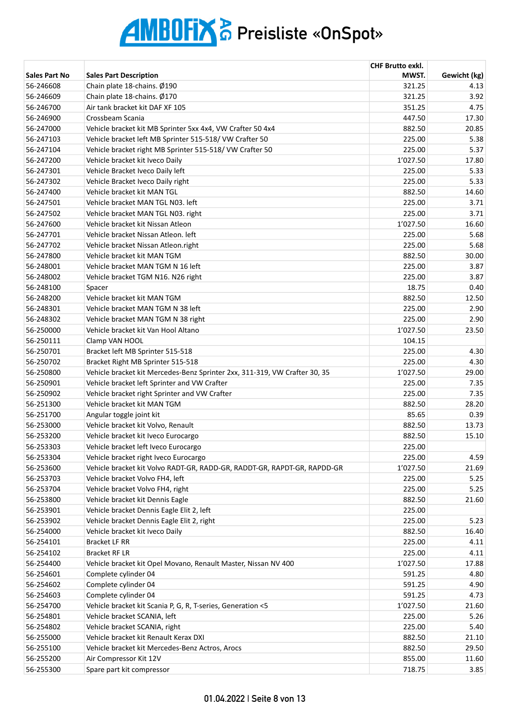|                      |                                                                            | <b>CHF Brutto exkl.</b> |              |
|----------------------|----------------------------------------------------------------------------|-------------------------|--------------|
| <b>Sales Part No</b> | <b>Sales Part Description</b>                                              | MWST.                   | Gewicht (kg) |
| 56-246608            | Chain plate 18-chains. Ø190                                                | 321.25                  | 4.13         |
| 56-246609            | Chain plate 18-chains. Ø170                                                | 321.25                  | 3.92         |
| 56-246700            | Air tank bracket kit DAF XF 105                                            | 351.25                  | 4.75         |
| 56-246900            | Crossbeam Scania                                                           | 447.50                  | 17.30        |
| 56-247000            | Vehicle bracket kit MB Sprinter 5xx 4x4, VW Crafter 50 4x4                 | 882.50                  | 20.85        |
| 56-247103            | Vehicle bracket left MB Sprinter 515-518/ VW Crafter 50                    | 225.00                  | 5.38         |
| 56-247104            | Vehicle bracket right MB Sprinter 515-518/ VW Crafter 50                   | 225.00                  | 5.37         |
| 56-247200            | Vehicle bracket kit Iveco Daily                                            | 1'027.50                | 17.80        |
| 56-247301            | Vehicle Bracket Iveco Daily left                                           | 225.00                  | 5.33         |
| 56-247302            | Vehicle Bracket Iveco Daily right                                          | 225.00                  | 5.33         |
| 56-247400            | Vehicle bracket kit MAN TGL                                                | 882.50                  | 14.60        |
| 56-247501            | Vehicle bracket MAN TGL N03. left                                          | 225.00                  | 3.71         |
| 56-247502            | Vehicle bracket MAN TGL N03. right                                         | 225.00                  | 3.71         |
| 56-247600            | Vehicle bracket kit Nissan Atleon                                          | 1'027.50                | 16.60        |
| 56-247701            | Vehicle bracket Nissan Atleon. left                                        | 225.00                  | 5.68         |
| 56-247702            | Vehicle bracket Nissan Atleon.right                                        | 225.00                  | 5.68         |
| 56-247800            | Vehicle bracket kit MAN TGM                                                | 882.50                  | 30.00        |
| 56-248001            | Vehicle bracket MAN TGM N 16 left                                          | 225.00                  | 3.87         |
| 56-248002            | Vehicle bracket TGM N16. N26 right                                         | 225.00                  | 3.87         |
| 56-248100            | Spacer                                                                     | 18.75                   | 0.40         |
| 56-248200            | Vehicle bracket kit MAN TGM                                                | 882.50                  | 12.50        |
| 56-248301            | Vehicle bracket MAN TGM N 38 left                                          | 225.00                  | 2.90         |
| 56-248302            | Vehicle bracket MAN TGM N 38 right                                         | 225.00                  | 2.90         |
| 56-250000            | Vehicle bracket kit Van Hool Altano                                        | 1'027.50                | 23.50        |
| 56-250111            | Clamp VAN HOOL                                                             | 104.15                  |              |
| 56-250701            | Bracket left MB Sprinter 515-518                                           | 225.00                  | 4.30         |
| 56-250702            | Bracket Right MB Sprinter 515-518                                          | 225.00                  | 4.30         |
| 56-250800            | Vehicle bracket kit Mercedes-Benz Sprinter 2xx, 311-319, VW Crafter 30, 35 | 1'027.50                | 29.00        |
| 56-250901            | Vehicle bracket left Sprinter and VW Crafter                               | 225.00                  | 7.35         |
| 56-250902            | Vehicle bracket right Sprinter and VW Crafter                              | 225.00                  | 7.35         |
| 56-251300            | Vehicle bracket kit MAN TGM                                                | 882.50                  | 28.20        |
| 56-251700            | Angular toggle joint kit                                                   | 85.65                   | 0.39         |
| 56-253000            | Vehicle bracket kit Volvo, Renault                                         | 882.50                  | 13.73        |
| 56-253200            | Vehicle bracket kit Iveco Eurocargo                                        | 882.50                  | 15.10        |
| 56-253303            | Vehicle bracket left Iveco Eurocargo                                       | 225.00                  |              |
| 56-253304            | Vehicle bracket right Iveco Eurocargo                                      | 225.00                  | 4.59         |
| 56-253600            | Vehicle bracket kit Volvo RADT-GR, RADD-GR, RADDT-GR, RAPDT-GR, RAPDD-GR   | 1'027.50                | 21.69        |
| 56-253703            | Vehicle bracket Volvo FH4, left                                            | 225.00                  | 5.25         |
| 56-253704            | Vehicle bracket Volvo FH4, right                                           | 225.00                  | 5.25         |
| 56-253800            | Vehicle bracket kit Dennis Eagle                                           | 882.50                  | 21.60        |
| 56-253901            | Vehicle bracket Dennis Eagle Elit 2, left                                  | 225.00                  |              |
| 56-253902            | Vehicle bracket Dennis Eagle Elit 2, right                                 | 225.00                  | 5.23         |
| 56-254000            | Vehicle bracket kit Iveco Daily                                            | 882.50                  | 16.40        |
| 56-254101            | Bracket LF RR                                                              | 225.00                  | 4.11         |
| 56-254102            | <b>Bracket RF LR</b>                                                       | 225.00                  | 4.11         |
| 56-254400            | Vehicle bracket kit Opel Movano, Renault Master, Nissan NV 400             | 1'027.50                | 17.88        |
| 56-254601            | Complete cylinder 04                                                       | 591.25                  | 4.80         |
| 56-254602            | Complete cylinder 04                                                       | 591.25                  | 4.90         |
| 56-254603            | Complete cylinder 04                                                       | 591.25                  | 4.73         |
| 56-254700            | Vehicle bracket kit Scania P, G, R, T-series, Generation <5                | 1'027.50                | 21.60        |
| 56-254801            | Vehicle bracket SCANIA, left                                               | 225.00                  | 5.26         |
| 56-254802            | Vehicle bracket SCANIA, right                                              | 225.00                  | 5.40         |
| 56-255000            | Vehicle bracket kit Renault Kerax DXI                                      | 882.50                  | 21.10        |
| 56-255100            | Vehicle bracket kit Mercedes-Benz Actros, Arocs                            | 882.50                  | 29.50        |
| 56-255200            | Air Compressor Kit 12V                                                     | 855.00                  | 11.60        |
| 56-255300            | Spare part kit compressor                                                  | 718.75                  | 3.85         |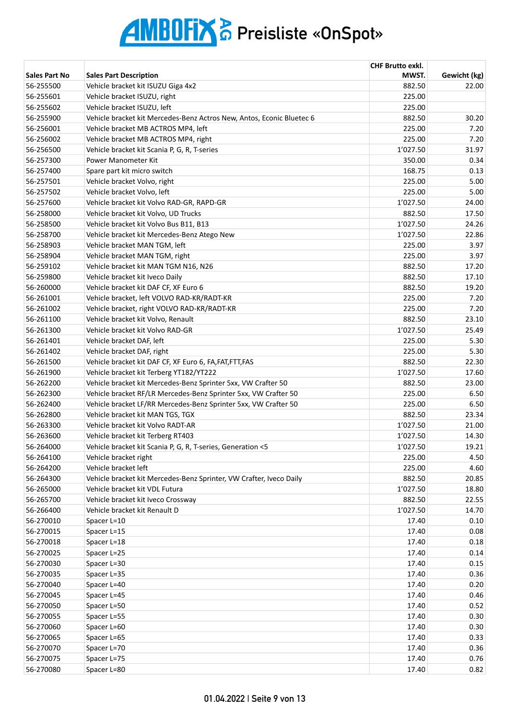|                      |                                                                       | <b>CHF Brutto exkl.</b> |              |
|----------------------|-----------------------------------------------------------------------|-------------------------|--------------|
| <b>Sales Part No</b> | <b>Sales Part Description</b>                                         | MWST.                   | Gewicht (kg) |
| 56-255500            | Vehicle bracket kit ISUZU Giga 4x2                                    | 882.50                  | 22.00        |
| 56-255601            | Vehicle bracket ISUZU, right                                          | 225.00                  |              |
| 56-255602            | Vehicle bracket ISUZU, left                                           | 225.00                  |              |
| 56-255900            | Vehicle bracket kit Mercedes-Benz Actros New, Antos, Econic Bluetec 6 | 882.50                  | 30.20        |
| 56-256001            | Vehicle bracket MB ACTROS MP4, left                                   | 225.00                  | 7.20         |
| 56-256002            | Vehicle bracket MB ACTROS MP4, right                                  | 225.00                  | 7.20         |
| 56-256500            | Vehicle bracket kit Scania P, G, R, T-series                          | 1'027.50                | 31.97        |
| 56-257300            | Power Manometer Kit                                                   | 350.00                  | 0.34         |
| 56-257400            | Spare part kit micro switch                                           | 168.75                  | 0.13         |
| 56-257501            | Vehicle bracket Volvo, right                                          | 225.00                  | 5.00         |
| 56-257502            | Vehicle bracket Volvo, left                                           | 225.00                  | 5.00         |
| 56-257600            | Vehicle bracket kit Volvo RAD-GR, RAPD-GR                             | 1'027.50                | 24.00        |
| 56-258000            | Vehicle bracket kit Volvo, UD Trucks                                  | 882.50                  | 17.50        |
| 56-258500            | Vehicle bracket kit Volvo Bus B11, B13                                | 1'027.50                | 24.26        |
| 56-258700            | Vehicle bracket kit Mercedes-Benz Atego New                           | 1'027.50                | 22.86        |
| 56-258903            | Vehicle bracket MAN TGM, left                                         | 225.00                  | 3.97         |
| 56-258904            | Vehicle bracket MAN TGM, right                                        | 225.00                  | 3.97         |
| 56-259102            | Vehicle bracket kit MAN TGM N16, N26                                  | 882.50                  | 17.20        |
| 56-259800            | Vehicle bracket kit Iveco Daily                                       | 882.50                  | 17.10        |
| 56-260000            | Vehicle bracket kit DAF CF, XF Euro 6                                 | 882.50                  | 19.20        |
| 56-261001            | Vehicle bracket, left VOLVO RAD-KR/RADT-KR                            | 225.00                  | 7.20         |
| 56-261002            | Vehicle bracket, right VOLVO RAD-KR/RADT-KR                           | 225.00                  | 7.20         |
| 56-261100            | Vehicle bracket kit Volvo, Renault                                    | 882.50                  | 23.10        |
| 56-261300            | Vehicle bracket kit Volvo RAD-GR                                      | 1'027.50                | 25.49        |
| 56-261401            | Vehicle bracket DAF, left                                             | 225.00                  | 5.30         |
| 56-261402            | Vehicle bracket DAF, right                                            | 225.00                  | 5.30         |
| 56-261500            | Vehicle bracket kit DAF CF, XF Euro 6, FA, FAT, FTT, FAS              | 882.50                  | 22.30        |
| 56-261900            | Vehicle bracket kit Terberg YT182/YT222                               | 1'027.50                | 17.60        |
| 56-262200            | Vehicle bracket kit Mercedes-Benz Sprinter 5xx, VW Crafter 50         | 882.50                  | 23.00        |
| 56-262300            | Vehicle bracket RF/LR Mercedes-Benz Sprinter 5xx, VW Crafter 50       | 225.00                  | 6.50         |
| 56-262400            | Vehicle bracket LF/RR Mercedes-Benz Sprinter 5xx, VW Crafter 50       | 225.00                  | 6.50         |
| 56-262800            | Vehicle bracket kit MAN TGS, TGX                                      | 882.50                  | 23.34        |
| 56-263300            | Vehicle bracket kit Volvo RADT-AR                                     | 1'027.50                | 21.00        |
| 56-263600            | Vehicle bracket kit Terberg RT403                                     | 1'027.50                | 14.30        |
| 56-264000            | Vehicle bracket kit Scania P, G, R, T-series, Generation <5           | 1'027.50                | 19.21        |
| 56-264100            | Vehicle bracket right                                                 | 225.00                  | 4.50         |
| 56-264200            | Vehicle bracket left                                                  | 225.00                  | 4.60         |
| 56-264300            | Vehicle bracket kit Mercedes-Benz Sprinter, VW Crafter, Iveco Daily   | 882.50                  | 20.85        |
| 56-265000            | Vehicle bracket kit VDL Futura                                        | 1'027.50                | 18.80        |
| 56-265700            | Vehicle bracket kit Iveco Crossway                                    | 882.50                  | 22.55        |
| 56-266400            | Vehicle bracket kit Renault D                                         | 1'027.50                | 14.70        |
| 56-270010            | Spacer L=10                                                           | 17.40                   | 0.10         |
| 56-270015            | Spacer L=15                                                           | 17.40                   | 0.08         |
| 56-270018            | Spacer L=18                                                           | 17.40                   | 0.18         |
| 56-270025            | Spacer L=25                                                           | 17.40                   | 0.14         |
| 56-270030            | Spacer L=30                                                           | 17.40                   | 0.15         |
| 56-270035            | Spacer L=35                                                           | 17.40                   | 0.36         |
| 56-270040            | Spacer L=40                                                           | 17.40                   | 0.20         |
| 56-270045            | Spacer L=45                                                           | 17.40                   | 0.46         |
| 56-270050            | Spacer L=50                                                           | 17.40                   | 0.52         |
| 56-270055            | Spacer L=55                                                           | 17.40                   | 0.30         |
| 56-270060            | Spacer L=60                                                           | 17.40                   | 0.30         |
| 56-270065            | Spacer L=65                                                           | 17.40                   | 0.33         |
| 56-270070            | Spacer L=70                                                           | 17.40                   | 0.36         |
| 56-270075            | Spacer L=75                                                           | 17.40                   | 0.76         |
| 56-270080            | Spacer L=80                                                           | 17.40                   | 0.82         |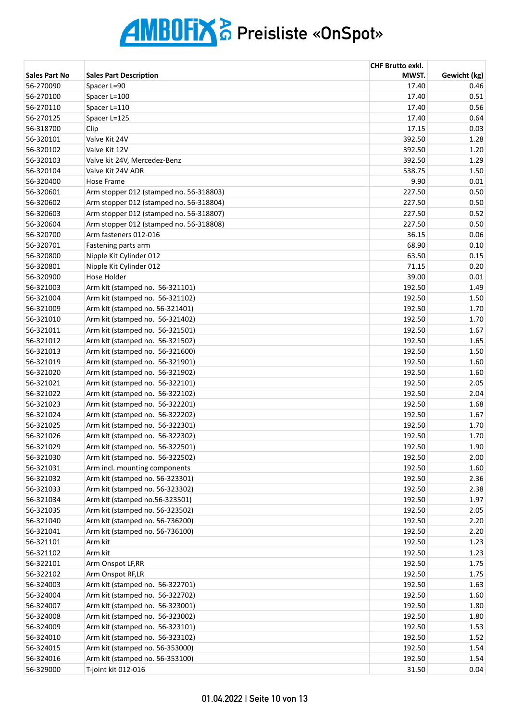|                      |                                         | <b>CHF Brutto exkl.</b> |              |
|----------------------|-----------------------------------------|-------------------------|--------------|
| <b>Sales Part No</b> | <b>Sales Part Description</b>           | MWST.                   | Gewicht (kg) |
| 56-270090            | Spacer L=90                             | 17.40                   | 0.46         |
| 56-270100            | Spacer L=100                            | 17.40                   | 0.51         |
| 56-270110            | Spacer L=110                            | 17.40                   | 0.56         |
| 56-270125            | Spacer L=125                            | 17.40                   | 0.64         |
| 56-318700            | Clip                                    | 17.15                   | 0.03         |
| 56-320101            | Valve Kit 24V                           | 392.50                  | 1.28         |
| 56-320102            | Valve Kit 12V                           | 392.50                  | 1.20         |
| 56-320103            | Valve kit 24V, Mercedez-Benz            | 392.50                  | 1.29         |
| 56-320104            | Valve Kit 24V ADR                       | 538.75                  | 1.50         |
| 56-320400            | Hose Frame                              | 9.90                    | 0.01         |
| 56-320601            | Arm stopper 012 (stamped no. 56-318803) | 227.50                  | 0.50         |
| 56-320602            | Arm stopper 012 (stamped no. 56-318804) | 227.50                  | 0.50         |
| 56-320603            | Arm stopper 012 (stamped no. 56-318807) | 227.50                  | 0.52         |
| 56-320604            | Arm stopper 012 (stamped no. 56-318808) | 227.50                  | 0.50         |
| 56-320700            | Arm fasteners 012-016                   | 36.15                   | 0.06         |
| 56-320701            | Fastening parts arm                     | 68.90                   | 0.10         |
| 56-320800            | Nipple Kit Cylinder 012                 | 63.50                   | 0.15         |
| 56-320801            | Nipple Kit Cylinder 012                 | 71.15                   | 0.20         |
| 56-320900            | Hose Holder                             | 39.00                   | 0.01         |
| 56-321003            | Arm kit (stamped no. 56-321101)         | 192.50                  | 1.49         |
| 56-321004            | Arm kit (stamped no. 56-321102)         | 192.50                  | 1.50         |
| 56-321009            | Arm kit (stamped no. 56-321401)         | 192.50                  | 1.70         |
| 56-321010            | Arm kit (stamped no. 56-321402)         | 192.50                  | 1.70         |
| 56-321011            | Arm kit (stamped no. 56-321501)         | 192.50                  | 1.67         |
| 56-321012            | Arm kit (stamped no. 56-321502)         | 192.50                  | 1.65         |
| 56-321013            | Arm kit (stamped no. 56-321600)         | 192.50                  | 1.50         |
| 56-321019            | Arm kit (stamped no. 56-321901)         | 192.50                  | 1.60         |
| 56-321020            | Arm kit (stamped no. 56-321902)         | 192.50                  | 1.60         |
| 56-321021            | Arm kit (stamped no. 56-322101)         | 192.50                  | 2.05         |
| 56-321022            | Arm kit (stamped no. 56-322102)         | 192.50                  | 2.04         |
| 56-321023            | Arm kit (stamped no. 56-322201)         | 192.50                  | 1.68         |
| 56-321024            | Arm kit (stamped no. 56-322202)         | 192.50                  | 1.67         |
| 56-321025            | Arm kit (stamped no. 56-322301)         | 192.50                  | 1.70         |
| 56-321026            | Arm kit (stamped no. 56-322302)         | 192.50                  | 1.70         |
| 56-321029            | Arm kit (stamped no. 56-322501)         | 192.50                  | 1.90         |
| 56-321030            | Arm kit (stamped no. 56-322502)         | 192.50                  | 2.00         |
| 56-321031            | Arm incl. mounting components           | 192.50                  | 1.60         |
| 56-321032            | Arm kit (stamped no. 56-323301)         | 192.50                  | 2.36         |
| 56-321033            | Arm kit (stamped no. 56-323302)         | 192.50                  | 2.38         |
| 56-321034            | Arm kit (stamped no.56-323501)          | 192.50                  | 1.97         |
| 56-321035            | Arm kit (stamped no. 56-323502)         | 192.50                  | 2.05         |
| 56-321040            | Arm kit (stamped no. 56-736200)         | 192.50                  | 2.20         |
| 56-321041            | Arm kit (stamped no. 56-736100)         | 192.50                  | 2.20         |
| 56-321101            | Arm kit                                 | 192.50                  | 1.23         |
| 56-321102            | Arm kit                                 | 192.50                  | 1.23         |
| 56-322101            | Arm Onspot LF,RR                        | 192.50                  | 1.75         |
| 56-322102            | Arm Onspot RF,LR                        | 192.50                  | 1.75         |
| 56-324003            | Arm kit (stamped no. 56-322701)         | 192.50                  | 1.63         |
| 56-324004            | Arm kit (stamped no. 56-322702)         | 192.50                  | 1.60         |
| 56-324007            | Arm kit (stamped no. 56-323001)         | 192.50                  | 1.80         |
| 56-324008            | Arm kit (stamped no. 56-323002)         | 192.50                  | 1.80         |
| 56-324009            | Arm kit (stamped no. 56-323101)         | 192.50                  | 1.53         |
| 56-324010            | Arm kit (stamped no. 56-323102)         | 192.50                  | 1.52         |
| 56-324015            | Arm kit (stamped no. 56-353000)         | 192.50                  | 1.54         |
| 56-324016            | Arm kit (stamped no. 56-353100)         | 192.50                  | 1.54         |
| 56-329000            | T-joint kit 012-016                     | 31.50                   | 0.04         |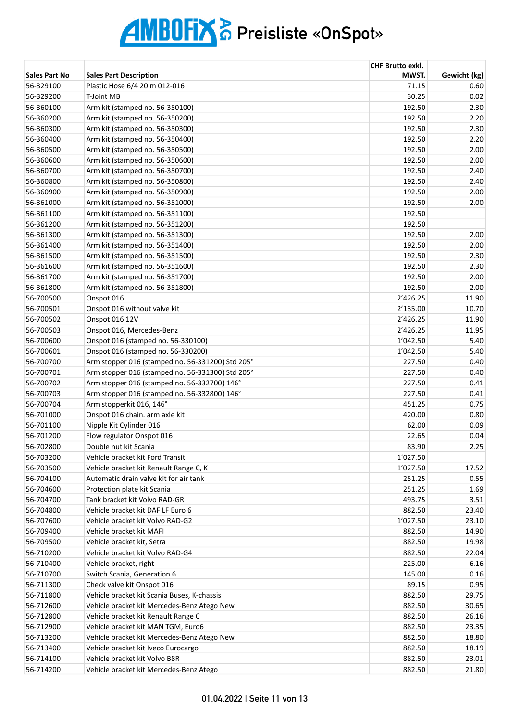|                        |                                                                                  | <b>CHF Brutto exkl.</b> |                |
|------------------------|----------------------------------------------------------------------------------|-------------------------|----------------|
| <b>Sales Part No</b>   | <b>Sales Part Description</b>                                                    | MWST.                   | Gewicht (kg)   |
| 56-329100              | Plastic Hose 6/4 20 m 012-016                                                    | 71.15                   | 0.60           |
| 56-329200              | <b>T-Joint MB</b>                                                                | 30.25                   | 0.02           |
| 56-360100              | Arm kit (stamped no. 56-350100)                                                  | 192.50                  | 2.30           |
| 56-360200              | Arm kit (stamped no. 56-350200)                                                  | 192.50                  | 2.20           |
| 56-360300              | Arm kit (stamped no. 56-350300)                                                  | 192.50                  | 2.30           |
| 56-360400              | Arm kit (stamped no. 56-350400)                                                  | 192.50                  | 2.20           |
| 56-360500              | Arm kit (stamped no. 56-350500)                                                  | 192.50                  | 2.00           |
| 56-360600              | Arm kit (stamped no. 56-350600)                                                  | 192.50                  | 2.00           |
| 56-360700              | Arm kit (stamped no. 56-350700)                                                  | 192.50                  | 2.40           |
| 56-360800              | Arm kit (stamped no. 56-350800)                                                  | 192.50                  | 2.40           |
| 56-360900              | Arm kit (stamped no. 56-350900)                                                  | 192.50                  | 2.00           |
| 56-361000              | Arm kit (stamped no. 56-351000)                                                  | 192.50                  | 2.00           |
| 56-361100              | Arm kit (stamped no. 56-351100)                                                  | 192.50                  |                |
| 56-361200              | Arm kit (stamped no. 56-351200)                                                  | 192.50                  |                |
| 56-361300              | Arm kit (stamped no. 56-351300)                                                  | 192.50                  | 2.00           |
| 56-361400              | Arm kit (stamped no. 56-351400)                                                  | 192.50                  | 2.00           |
| 56-361500              | Arm kit (stamped no. 56-351500)                                                  | 192.50                  | 2.30           |
| 56-361600              | Arm kit (stamped no. 56-351600)                                                  | 192.50                  | 2.30           |
| 56-361700              | Arm kit (stamped no. 56-351700)                                                  | 192.50                  | 2.00           |
| 56-361800              | Arm kit (stamped no. 56-351800)                                                  | 192.50                  | 2.00           |
| 56-700500              | Onspot 016                                                                       | 2'426.25                | 11.90          |
| 56-700501              | Onspot 016 without valve kit                                                     | 2'135.00                | 10.70          |
| 56-700502              | Onspot 016 12V                                                                   | 2'426.25                | 11.90          |
| 56-700503              | Onspot 016, Mercedes-Benz                                                        | 2'426.25                | 11.95          |
| 56-700600              | Onspot 016 (stamped no. 56-330100)                                               | 1'042.50                | 5.40           |
| 56-700601              | Onspot 016 (stamped no. 56-330200)                                               | 1'042.50                | 5.40           |
| 56-700700              | Arm stopper 016 (stamped no. 56-331200) Std 205°                                 | 227.50                  | 0.40           |
| 56-700701              | Arm stopper 016 (stamped no. 56-331300) Std 205°                                 | 227.50                  | 0.40           |
| 56-700702              | Arm stopper 016 (stamped no. 56-332700) 146°                                     | 227.50                  | 0.41           |
| 56-700703              | Arm stopper 016 (stamped no. 56-332800) 146°                                     | 227.50                  | 0.41           |
| 56-700704              | Arm stopperkit 016, 146°                                                         | 451.25                  | 0.75           |
| 56-701000              | Onspot 016 chain. arm axle kit                                                   | 420.00                  | 0.80           |
| 56-701100              | Nipple Kit Cylinder 016                                                          | 62.00                   | 0.09           |
| 56-701200              | Flow regulator Onspot 016                                                        | 22.65                   | 0.04           |
| 56-702800              | Double nut kit Scania                                                            | 83.90                   | 2.25           |
| 56-703200              | Vehicle bracket kit Ford Transit                                                 | 1'027.50                |                |
| 56-703500              |                                                                                  | 1'027.50                | 17.52          |
| 56-704100              | Vehicle bracket kit Renault Range C, K<br>Automatic drain valve kit for air tank | 251.25                  | 0.55           |
|                        |                                                                                  |                         |                |
| 56-704600              | Protection plate kit Scania<br>Tank bracket kit Volvo RAD-GR                     | 251.25<br>493.75        | 1.69           |
| 56-704700<br>56-704800 | Vehicle bracket kit DAF LF Euro 6                                                | 882.50                  | 3.51<br>23.40  |
|                        | Vehicle bracket kit Volvo RAD-G2                                                 |                         | 23.10          |
| 56-707600              | Vehicle bracket kit MAFI                                                         | 1'027.50                |                |
| 56-709400              | Vehicle bracket kit, Setra                                                       | 882.50                  | 14.90<br>19.98 |
| 56-709500              |                                                                                  | 882.50                  |                |
| 56-710200              | Vehicle bracket kit Volvo RAD-G4                                                 | 882.50                  | 22.04          |
| 56-710400              | Vehicle bracket, right                                                           | 225.00                  | 6.16           |
| 56-710700              | Switch Scania, Generation 6                                                      | 145.00                  | 0.16           |
| 56-711300              | Check valve kit Onspot 016                                                       | 89.15                   | 0.95           |
| 56-711800              | Vehicle bracket kit Scania Buses, K-chassis                                      | 882.50                  | 29.75          |
| 56-712600              | Vehicle bracket kit Mercedes-Benz Atego New                                      | 882.50                  | 30.65          |
| 56-712800              | Vehicle bracket kit Renault Range C                                              | 882.50                  | 26.16          |
| 56-712900              | Vehicle bracket kit MAN TGM, Euro6                                               | 882.50                  | 23.35          |
| 56-713200              | Vehicle bracket kit Mercedes-Benz Atego New                                      | 882.50                  | 18.80          |
| 56-713400              | Vehicle bracket kit Iveco Eurocargo                                              | 882.50                  | 18.19          |
| 56-714100              | Vehicle bracket kit Volvo B8R                                                    | 882.50                  | 23.01          |
| 56-714200              | Vehicle bracket kit Mercedes-Benz Atego                                          | 882.50                  | 21.80          |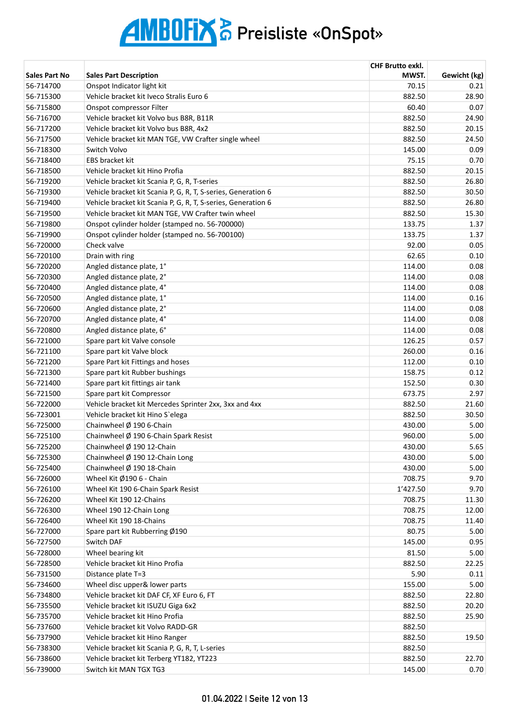|                      |                                                               | <b>CHF Brutto exkl.</b> |              |
|----------------------|---------------------------------------------------------------|-------------------------|--------------|
| <b>Sales Part No</b> | <b>Sales Part Description</b>                                 | MWST.                   | Gewicht (kg) |
| 56-714700            | Onspot Indicator light kit                                    | 70.15                   | 0.21         |
| 56-715300            | Vehicle bracket kit Iveco Stralis Euro 6                      | 882.50                  | 28.90        |
| 56-715800            | Onspot compressor Filter                                      | 60.40                   | 0.07         |
| 56-716700            | Vehicle bracket kit Volvo bus B8R, B11R                       | 882.50                  | 24.90        |
| 56-717200            | Vehicle bracket kit Volvo bus B8R, 4x2                        | 882.50                  | 20.15        |
| 56-717500            | Vehicle bracket kit MAN TGE, VW Crafter single wheel          | 882.50                  | 24.50        |
| 56-718300            | Switch Volvo                                                  | 145.00                  | 0.09         |
| 56-718400            | EBS bracket kit                                               | 75.15                   | 0.70         |
| 56-718500            | Vehicle bracket kit Hino Profia                               | 882.50                  | 20.15        |
| 56-719200            | Vehicle bracket kit Scania P, G, R, T-series                  | 882.50                  | 26.80        |
| 56-719300            | Vehicle bracket kit Scania P, G, R, T, S-series, Generation 6 | 882.50                  | 30.50        |
| 56-719400            | Vehicle bracket kit Scania P, G, R, T, S-series, Generation 6 | 882.50                  | 26.80        |
| 56-719500            | Vehicle bracket kit MAN TGE, VW Crafter twin wheel            | 882.50                  | 15.30        |
| 56-719800            | Onspot cylinder holder (stamped no. 56-700000)                | 133.75                  | 1.37         |
| 56-719900            | Onspot cylinder holder (stamped no. 56-700100)                | 133.75                  | 1.37         |
| 56-720000            | Check valve                                                   | 92.00                   | 0.05         |
| 56-720100            | Drain with ring                                               | 62.65                   | 0.10         |
| 56-720200            | Angled distance plate, 1°                                     | 114.00                  | 0.08         |
| 56-720300            | Angled distance plate, 2°                                     | 114.00                  | 0.08         |
| 56-720400            | Angled distance plate, 4°                                     | 114.00                  | 0.08         |
| 56-720500            | Angled distance plate, 1°                                     | 114.00                  | 0.16         |
| 56-720600            | Angled distance plate, 2°                                     | 114.00                  | 0.08         |
| 56-720700            | Angled distance plate, 4°                                     | 114.00                  | 0.08         |
| 56-720800            | Angled distance plate, 6°                                     | 114.00                  | 0.08         |
| 56-721000            | Spare part kit Valve console                                  | 126.25                  | 0.57         |
| 56-721100            | Spare part kit Valve block                                    | 260.00                  | 0.16         |
| 56-721200            | Spare Part kit Fittings and hoses                             | 112.00                  | 0.10         |
| 56-721300            | Spare part kit Rubber bushings                                | 158.75                  | 0.12         |
| 56-721400            | Spare part kit fittings air tank                              | 152.50                  | 0.30         |
| 56-721500            | Spare part kit Compressor                                     | 673.75                  | 2.97         |
| 56-722000            | Vehicle bracket kit Mercedes Sprinter 2xx, 3xx and 4xx        | 882.50                  | 21.60        |
| 56-723001            | Vehicle bracket kit Hino S'elega                              | 882.50                  | 30.50        |
| 56-725000            | Chainwheel $\emptyset$ 190 6-Chain                            | 430.00                  | 5.00         |
| 56-725100            | Chainwheel $\varnothing$ 190 6-Chain Spark Resist             | 960.00                  | 5.00         |
| 56-725200            | Chainwheel Ø 190 12-Chain                                     | 430.00                  | 5.65         |
| 56-725300            | Chainwheel $\emptyset$ 190 12-Chain Long                      | 430.00                  | 5.00         |
| 56-725400            | Chainwheel Ø 190 18-Chain                                     | 430.00                  | 5.00         |
| 56-726000            | Wheel Kit Ø190 6 - Chain                                      | 708.75                  | 9.70         |
| 56-726100            | Wheel Kit 190 6-Chain Spark Resist                            | 1'427.50                | 9.70         |
| 56-726200            | Wheel Kit 190 12-Chains                                       | 708.75                  | 11.30        |
| 56-726300            | Wheel 190 12-Chain Long                                       | 708.75                  | 12.00        |
| 56-726400            | Wheel Kit 190 18-Chains                                       | 708.75                  | 11.40        |
| 56-727000            | Spare part kit Rubberring Ø190                                | 80.75                   | 5.00         |
| 56-727500            | Switch DAF                                                    | 145.00                  | 0.95         |
| 56-728000            | Wheel bearing kit                                             | 81.50                   | 5.00         |
| 56-728500            | Vehicle bracket kit Hino Profia                               | 882.50                  | 22.25        |
| 56-731500            | Distance plate T=3                                            | 5.90                    | 0.11         |
| 56-734600            | Wheel disc upper& lower parts                                 | 155.00                  | 5.00         |
| 56-734800            | Vehicle bracket kit DAF CF, XF Euro 6, FT                     | 882.50                  | 22.80        |
| 56-735500            | Vehicle bracket kit ISUZU Giga 6x2                            | 882.50                  | 20.20        |
| 56-735700            | Vehicle bracket kit Hino Profia                               | 882.50                  | 25.90        |
| 56-737600            | Vehicle bracket kit Volvo RADD-GR                             | 882.50                  |              |
| 56-737900            | Vehicle bracket kit Hino Ranger                               | 882.50                  | 19.50        |
| 56-738300            | Vehicle bracket kit Scania P, G, R, T, L-series               | 882.50                  |              |
| 56-738600            | Vehicle bracket kit Terberg YT182, YT223                      | 882.50                  | 22.70        |
| 56-739000            | Switch kit MAN TGX TG3                                        | 145.00                  | 0.70         |